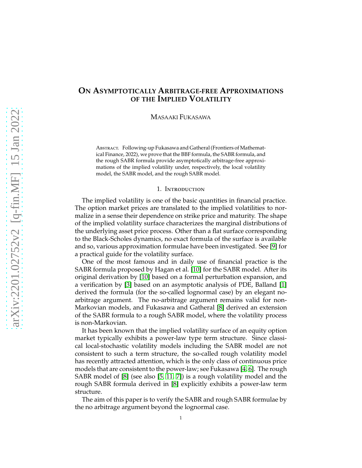# **ON ASYMPTOTICALLY ARBITRAGE-FREE APPROXIMATIONS OF THE IMPLIED VOLATILITY**

MASAAKI FUKASAWA

ABSTRACT. Following-up Fukasawa and Gatheral (Frontiers of Mathematical Finance, 2022), we prove that the BBF formula, the SABR formula, and the rough SABR formula provide asymptotically arbitrage-free approximations of the implied volatility under, respectively, the local volatility model, the SABR model, and the rough SABR model.

#### 1. Introduction

The implied volatility is one of the basic quantities in financial practice. The option market prices are translated to the implied volatilities to normalize in a sense their dependence on strike price and maturity. The shape of the implied volatility surface characterizes the marginal distributions of the underlying asset price process. Other than a flat surface corresponding to the Black-Scholes dynamics, no exact formula of the surface is available and so, various approximation formulae have been investigated. See [\[9\]](#page-12-0) for a practical guide for the volatility surface.

One of the most famous and in daily use of financial practice is the SABR formula proposed by Hagan et al. [\[10\]](#page-12-1) for the SABR model. After its original derivation by [\[10\]](#page-12-1) based on a formal perturbation expansion, and a verification by [\[3\]](#page-12-2) based on an asymptotic analysis of PDE, Balland [\[1\]](#page-12-3) derived the formula (for the so-called lognormal case) by an elegant noarbitrage argument. The no-arbitrage argument remains valid for non-Markovian models, and Fukasawa and Gatheral [\[8\]](#page-12-4) derived an extension of the SABR formula to a rough SABR model, where the volatility process is non-Markovian.

It has been known that the implied volatility surface of an equity option market typically exhibits a power-law type term structure. Since classical local-stochastic volatility models including the SABR model are not consistent to such a term structure, the so-called rough volatility model has recently attracted attention, which is the only class of continuous price models that are consistent to the power-law; see Fukasawa [\[4,](#page-12-5) [6\]](#page-12-6). The rough SABR model of [\[8\]](#page-12-4) (see also [\[5,](#page-12-7) [11,](#page-12-8) [7\]](#page-12-9)) is a rough volatility model and the rough SABR formula derived in [\[8\]](#page-12-4) explicitly exhibits a power-law term structure.

The aim of this paper is to verify the SABR and rough SABR formulae by the no arbitrage argument beyond the lognormal case.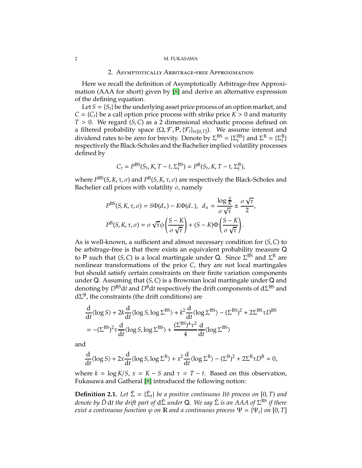#### 2 M. FUKASAWA

#### 2. Asymptotically Arbitrage-free Approximation

Here we recall the definition of Asymptotically Arbitrage-free Approximation (AAA for short) given by [\[8\]](#page-12-4) and derive an alternative expression of the defining equation.

Let  $S = \{S_t\}$  be the underlying asset price process of an option market, and  $C = \{C_t\}$  be a call option price process with strike price  $K > 0$  and maturity *T* > 0. We regard (*S*, *C*) as a 2 dimensional stochastic process defined on a filtered probability space  $(\Omega, \mathcal{F}, P, \{\mathcal{F}_t\}_{t\in[0,T]})$ . We assume interest and dividend rates to be zero for brevity. Denote by  $\Sigma^{BS} = {\Sigma_t^{BS}}$  and  $\Sigma^B = {\Sigma_t^B}$ respectively the Black-Scholes and the Bachelier implied volatility processes defined by

$$
C_t = P^{BS}(S_t, K, T - t, \Sigma_t^{BS}) = P^{B}(S_t, K, T - t, \Sigma_t^{B}),
$$

where *P<sup>BS</sup>(S, K, τ, σ*) and *P<sup>B</sup>(S, K, τ, σ*) are respectively the Black-Scholes and Bachelier call prices with volatility  $\sigma$ , namely

$$
P^{\text{BS}}(S, K, \tau, \sigma) = S\Phi(d_+) - K\Phi(d_-), \quad d_{\pm} = \frac{\log \frac{S}{K}}{\sigma \sqrt{\tau}} \pm \frac{\sigma \sqrt{\tau}}{2},
$$

$$
P^{\text{B}}(S, K, \tau, \sigma) = \sigma \sqrt{\tau} \phi \left(\frac{S - K}{\sigma \sqrt{\tau}}\right) + (S - K)\Phi \left(\frac{S - K}{\sigma \sqrt{\tau}}\right).
$$

As is well-known, a sufficient and almost necessary condition for (*S*, *C*) to be arbitrage-free is that there exists an equivalent probability measure Q to P such that  $(S, C)$  is a local martingale under Q. Since  $\Sigma^{BS}$  and  $\Sigma^B$  are nonlinear transformations of the price *C*, they are not local martingales but should satisfy certain constraints on their finite variation components under Q. Assuming that (*S*, *C*) is a Brownian local martingale under Q and denoting by *D*BSd*t* and *D*Bd*t* respectively the drift components of dΣ BS and  $d\Sigma^B$ , the constraints (the drift conditions) are

$$
\frac{d}{dt}\langle \log S \rangle + 2k \frac{d}{dt}\langle \log S, \log \Sigma^{BS} \rangle + k^2 \frac{d}{dt}\langle \log \Sigma^{BS} \rangle - (\Sigma^{BS})^2 + 2\Sigma^{BS} \tau D^{BS}
$$
\n
$$
= -(\Sigma^{BS})^2 \tau \frac{d}{dt}\langle \log S, \log \Sigma^{BS} \rangle + \frac{(\Sigma^{BS})^4 \tau^2}{4} \frac{d}{dt}\langle \log \Sigma^{BS} \rangle
$$

and

$$
\frac{d}{dt}\langle \log S \rangle + 2x \frac{d}{dt}\langle \log S, \log \Sigma^B \rangle + x^2 \frac{d}{dt}\langle \log \Sigma^B \rangle - (\Sigma^B)^2 + 2\Sigma^B \tau D^B = 0,
$$

where  $k = \log K/S$ ,  $x = K - S$  and  $\tau = T - t$ . Based on this observation, Fukasawa and Gatheral [\[8\]](#page-12-4) introduced the following notion:

**Definition 2.1.** Let  $\hat{\Sigma} = {\{\hat{\Sigma}_t\}}$  be a positive continuous Itô process on [0, *T*) and *denote by D*ˆ d*t the drift part of* dΣˆ *under* Q*. We say* Σˆ *is an AAA of* Σ BS *if there exist a continuous function*  $\varphi$  *on*  $\mathbb R$  *and a continuous process*  $\Psi = {\Psi_t}$  *on* [0, *T*]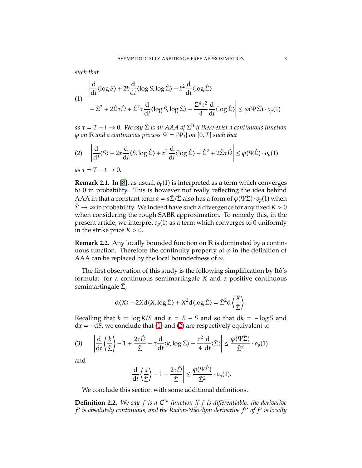*such that*

<span id="page-2-0"></span>
$$
\left| \frac{d}{dt} \langle \log S \rangle + 2k \frac{d}{dt} \langle \log S, \log \hat{\Sigma} \rangle + k^2 \frac{d}{dt} \langle \log \hat{\Sigma} \rangle \right|
$$
  

$$
- \hat{\Sigma}^2 + 2\hat{\Sigma}\tau \hat{D} + \hat{\Sigma}^2 \tau \frac{d}{dt} \langle \log S, \log \hat{\Sigma} \rangle - \frac{\hat{\Sigma}^4 \tau^2}{4} \frac{d}{dt} \langle \log \hat{\Sigma} \rangle \right| \le \varphi(\Psi \hat{\Sigma}) \cdot o_p(1)
$$

 $as\ \tau = T - t \to 0$ . We say  $\hat{\Sigma}$  *is an AAA of*  $\Sigma^{\text{B}}$  *if there exist a continuous function*  $\varphi$  *on* **R** *and a continuous process*  $\Psi = {\Psi_t}$  *on* [0, *T*] *such that* 

<span id="page-2-1"></span>
$$
(2) \quad \left| \frac{d}{dt} \langle S \rangle + 2x \frac{d}{dt} \langle S, \log \hat{\Sigma} \rangle + x^2 \frac{d}{dt} \langle \log \hat{\Sigma} \rangle - \hat{\Sigma}^2 + 2\hat{\Sigma}\tau \hat{D} \right| \le \varphi(\Psi \hat{\Sigma}) \cdot o_p(1)
$$

 $as \tau = T - t \rightarrow 0$ .

**Remark 2.1.** In [\[8\]](#page-12-4), as usual, *op*(1) is interpreted as a term which converges to 0 in probability. This is however not really reflecting the idea behind AAA in that a constant term  $a = a\hat{\Sigma}/\hat{\Sigma}$  also has a form of  $\varphi(\Psi \hat{\Sigma}) \cdot o_p(1)$  when  $\hat{\Sigma} \rightarrow \infty$  in probability. We indeed have such a divergence for any fixed  $K > 0$ when considering the rough SABR approximation. To remedy this, in the present article, we interpret  $o_p(1)$  as a term which converges to 0 uniformly in the strike price  $K > 0$ .

**Remark 2.2.** Any locally bounded function on R is dominated by a continuous function. Therefore the continuity property of  $\varphi$  in the definition of AAA can be replaced by the local boundedness of  $\varphi$ .

The first observation of this study is the following simplification by Itô's formula: for a continuous semimartingale *X* and a positive continuous semimartingale  $\hat{\Sigma}$ ,

$$
d\langle X \rangle - 2Xd\langle X, \log \hat{\Sigma} \rangle + X^2 d\langle \log \hat{\Sigma} \rangle = \hat{\Sigma}^2 d \left\langle \frac{X}{\hat{\Sigma}} \right\rangle
$$

.

Recalling that  $k = \log K/S$  and  $x = K - S$  and so that  $dk = -\log S$  and d*x* = −d*S*, we conclude that [\(1\)](#page-2-0) and [\(2\)](#page-2-1) are respectively equivalent to

<span id="page-2-2"></span>
$$
(3) \qquad \left|\frac{\mathrm{d}}{\mathrm{d}t}\left\langle\frac{k}{\hat{\Sigma}}\right\rangle - 1 + \frac{2\tau\hat{D}}{\hat{\Sigma}} - \tau\frac{\mathrm{d}}{\mathrm{d}t}\langle k, \log \hat{\Sigma} \rangle - \frac{\tau^2}{4}\frac{\mathrm{d}}{\mathrm{d}t}\langle\hat{\Sigma}\rangle \right| \leq \frac{\varphi(\Psi\hat{\Sigma})}{\hat{\Sigma}^2} \cdot o_p(1)
$$

and

$$
\left|\frac{\mathrm{d}}{\mathrm{d}t}\left\langle\frac{x}{\hat{\Sigma}}\right\rangle - 1 + \frac{2\tau\hat{D}}{\hat{\Sigma}}\right| \leq \frac{\varphi(\Psi\hat{\Sigma})}{\hat{\Sigma}^2} \cdot o_p(1).
$$

We conclude this section with some additional definitions.

**Definition 2.2.** We say  $f$  is a  $C^{1a}$  function if  $f$  is differentiable, the derivative *f* ′ *is absolutely continuous, and the Radon-Nikodym derivative f* ′′ *of f*′ *is locally*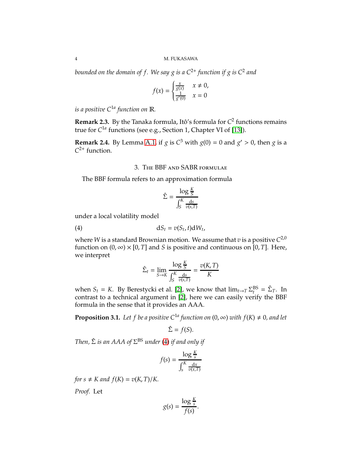*bounded on the domain of f . We say g is a C*2<sup>+</sup> *function if g is C*<sup>2</sup> *and*

$$
f(x) = \begin{cases} \frac{x}{g(x)} & x \neq 0, \\ \frac{1}{g'(0)} & x = 0 \end{cases}
$$

*is a positive C*1*<sup>a</sup> function on* R*.*

**Remark 2.3.** By the Tanaka formula, Itô's formula for *C* 2 functions remains true for *C* 1*a* functions (see e.g., Section 1, Chapter VI of [\[13\]](#page-12-10)).

**Remark 2.4.** By Lemma [A.1,](#page-7-0) if *g* is  $C^3$  with  $g(0) = 0$  and  $g' > 0$ , then *g* is a  $C^{2+}$  function.

3. The BBF and SABR formulae

The BBF formula refers to an approximation formula

<span id="page-3-0"></span>
$$
\hat{\Sigma} = \frac{\log \frac{K}{S}}{\int_{S}^{K} \frac{ds}{v(s,T)}}
$$

under a local volatility model

$$
dS_t = v(S_t, t) dW_t,
$$

where W is a standard Brownian motion. We assume that  $v$  is a positive  $C^{2,0}$ function on  $(0, \infty) \times [0, T]$  and *S* is positive and continuous on  $[0, T]$ . Here, we interpret

$$
\hat{\Sigma}_t = \lim_{S \to K} \frac{\log \frac{K}{S}}{\int_S^K \frac{ds}{v(s,T)}} = \frac{v(K,T)}{K}
$$

when *S<sub>t</sub>* = *K*. By Berestycki et al. [\[2\]](#page-12-11), we know that  $\lim_{t\to T} \Sigma_t^{BS} = \hat{\Sigma}_T$ . In contrast to a technical argument in [\[2\]](#page-12-11), here we can easily verify the BBF formula in the sense that it provides an AAA.

**Proposition 3.1.** Let f be a positive  $C^{1a}$  function on  $(0, \infty)$  with  $f(K) \neq 0$ , and let

$$
\hat{\Sigma} = f(S).
$$

*Then,* Σˆ *is an AAA of* Σ BS *under* [\(4\)](#page-3-0) *if and only if*

$$
f(s) = \frac{\log \frac{K}{s}}{\int_{s}^{K} \frac{dx}{v(x,T)}}
$$

*for*  $s \neq K$  *and*  $f(K) = v(K, T)/K$ .

*Proof.* Let

$$
g(s) = \frac{\log \frac{K}{s}}{f(s)}.
$$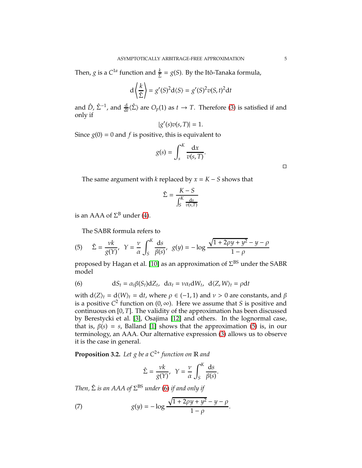Then, *g* is a  $C^{1a}$  function and  $\frac{k}{\hat{\Sigma}} = g(S)$ . By the Itô-Tanaka formula,

$$
d\left\langle \frac{k}{\hat{\Sigma}}\right\rangle = g'(S)^{2}d\langle S\rangle = g'(S)^{2}v(S,t)^{2}dt
$$

and  $\hat{D}$ ,  $\hat{\Sigma}^{-1}$ , and  $\frac{d}{dt}\langle \hat{\Sigma} \rangle$  are  $O_p(1)$  as  $t \to T$ . Therefore [\(3\)](#page-2-2) is satisfied if and only if

$$
|g'(s)v(s,T)|=1.
$$

Since  $g(0) = 0$  and *f* is positive, this is equivalent to

$$
g(s) = \int_s^K \frac{\mathrm{d}x}{v(s,T)}.
$$

 $\Box$ 

The same argument with *k* replaced by  $x = K - S$  shows that

$$
\hat{\Sigma} = \frac{K - S}{\int_{S}^{K} \frac{ds}{v(s,T)}}
$$

is an AAA of  $\Sigma^{\text{B}}$  under [\(4\)](#page-3-0).

The SABR formula refers to

<span id="page-4-0"></span>(5) 
$$
\hat{\Sigma} = \frac{vk}{g(Y)}, \quad Y = \frac{v}{\alpha} \int_{S}^{K} \frac{ds}{\beta(s)}, \quad g(y) = -\log \frac{\sqrt{1 + 2\rho y + y^2} - y - \rho}{1 - \rho}
$$

proposed by Hagan et al. [\[10\]](#page-12-1) as an approximation of  $\Sigma^{\text{BS}}$  under the SABR model

<span id="page-4-1"></span>(6) 
$$
dS_t = \alpha_t \beta(S_t) dZ_t, \ d\alpha_t = v \alpha_t dW_t, \ d\langle Z, W \rangle_t = \rho dt
$$

with  $d\langle Z \rangle_t = d\langle W \rangle_t = dt$ , where  $\rho \in (-1, 1)$  and  $\nu > 0$  are constants, and  $\beta$ is a positive  $C^2$  function on  $(0, \infty)$ . Here we assume that *S* is positive and continuous on [0, *T*]. The validity of the approximation has been discussed by Berestycki et al. [\[3\]](#page-12-2), Osajima [\[12\]](#page-12-12) and others. In the lognormal case, that is,  $\beta(s) = s$ , Balland [\[1\]](#page-12-3) shows that the approximation [\(5\)](#page-4-0) is, in our terminology, an AAA. Our alternative expression [\(3\)](#page-2-2) allows us to observe it is the case in general.

**Proposition 3.2.** Let g be a  $C^{2+}$  *function on*  $\mathbb R$  *and* 

<span id="page-4-2"></span>
$$
\hat{\Sigma} = \frac{\nu k}{g(Y)}, \ \ Y = \frac{\nu}{\alpha} \int_{S}^{K} \frac{ds}{\beta(s)}.
$$

*Then,* Σˆ *is an AAA of* Σ BS *under* [\(6\)](#page-4-1) *if and only if*

(7) 
$$
g(y) = -\log \frac{\sqrt{1 + 2\rho y + y^2} - y - \rho}{1 - \rho}.
$$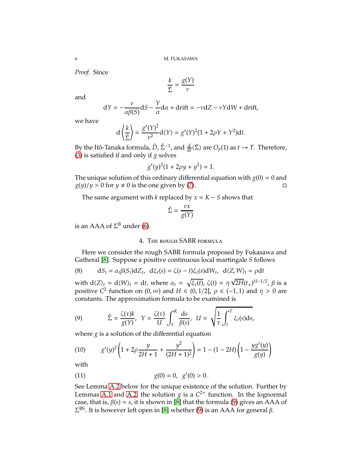*Proof.* Since

$$
\frac{k}{\hat{\Sigma}} = \frac{g(Y)}{\nu}
$$

and

$$
dY = -\frac{\nu}{\alpha\beta(S)}dS - \frac{Y}{\alpha}d\alpha + drift = -\nu dZ - \nu YdW + drift,
$$

we have

$$
d\left\langle \frac{k}{\hat{\Sigma}} \right\rangle = \frac{g'(Y)^2}{v^2} d\langle Y \rangle = g'(Y)^2 (1 + 2\rho Y + Y^2) dt.
$$

By the Itô-Tanaka formula,  $\hat{D}$ ,  $\hat{\Sigma}^{-1}$ , and  $\frac{d}{dt}\langle \hat{\Sigma} \rangle$  are  $O_p(1)$  as  $t \to T$ . Therefore, [\(3\)](#page-2-2) is satisfied if and only if *g* solves

$$
g'(y)^2(1+2\rho y+y^2)=1.
$$

The unique solution of this ordinary differential equation with  $g(0) = 0$  and  $g(y)/y > 0$  for  $y \neq 0$  is the one given by [\(7\)](#page-4-2).

The same argument with *k* replaced by  $x = K - S$  shows that

$$
\hat{\Sigma} = \frac{\nu x}{g(Y)}
$$

is an AAA of  $\Sigma^{\text{B}}$  under [\(6\)](#page-4-1).

## 4. The rough SABR formula

Here we consider the rough SABR formula proposed by Fukasawa and Gatheral [\[8\]](#page-12-4). Suppose a positive continuous local martingale *S* follows

<span id="page-5-1"></span>(8) 
$$
dS_t = \alpha_t \beta(S_t) dZ_t, \ d\xi_t(s) = \zeta(s-t)\xi_t(s) dW_t, \ d\langle Z, W \rangle_t = \rho dt
$$

with  $d(Z)_t = d\langle W \rangle_t = dt$ , where  $\alpha_t = \sqrt{\xi_t(t)}$ ,  $\zeta(t) = \eta \sqrt{2H(t_t)^{H-1/2}}$ ,  $\beta$  is a positive *C*<sup>2</sup> function on  $(0, \infty)$  and  $H \in (0, 1/2]$ ,  $\rho \in (-1, 1)$  and  $\eta > 0$  are constants. The approximation formula to be examined is

<span id="page-5-0"></span>(9) 
$$
\hat{\Sigma} = \frac{\zeta(\tau)k}{g(Y)}, \ \ Y = \frac{\zeta(\tau)}{U} \int_{S}^{K} \frac{ds}{\beta(s)}, \ \ U = \sqrt{\frac{1}{\tau} \int_{t}^{T} \xi_{t}(s)ds},
$$

where *g* is a solution of the differential equation

<span id="page-5-2"></span>(10) 
$$
g'(y)^2 \left(1 + 2\rho \frac{y}{2H+1} + \frac{y^2}{(2H+1)^2}\right) = 1 - (1 - 2H)\left(1 - \frac{yg'(y)}{g(y)}\right)
$$

with

<span id="page-5-3"></span>(11) 
$$
g(0) = 0, g'(0) > 0.
$$

See Lemma [A.2](#page-8-0) below for the unique existence of the solution. Further by Lemmas [A.1](#page-7-0) and [A.2,](#page-8-0) the solution  $g$  is a  $C^{2+}$  function. In the lognormal case, that is,  $\beta(s) = s$ , it is shown in [\[8\]](#page-12-4) that the formula [\(9\)](#page-5-0) gives an AAA of  $\Sigma^{\text{BS}}$ . It is however left open in [\[8\]](#page-12-4) whether [\(9\)](#page-5-0) is an AAA for general β.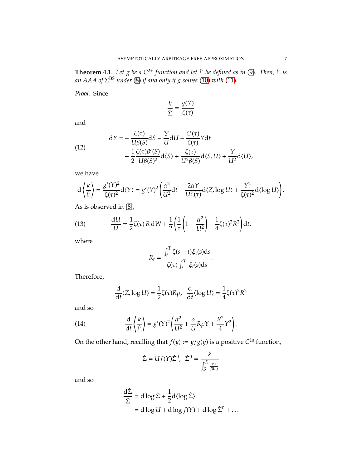**Theorem 4.1.** *Let g be a C*2<sup>+</sup> *function and let* Σˆ *be defined as in* [\(9\)](#page-5-0)*. Then,* Σˆ *is an AAA of* Σ BS *under* [\(8\)](#page-5-1) *if and only if g solves* [\(10\)](#page-5-2) *with* [\(11\)](#page-5-3)*.*

*Proof.* Since

$$
\frac{k}{\hat{\Sigma}} = \frac{g(Y)}{\zeta(\tau)}
$$

and

<span id="page-6-0"></span>(12)  
\n
$$
dY = -\frac{\zeta(\tau)}{U\beta(S)}dS - \frac{Y}{U}dU - \frac{\zeta'(\tau)}{\zeta(\tau)}Ydt + \frac{1}{2}\frac{\zeta(\tau)\beta'(S)}{U\beta(S)^2}d\langle S \rangle + \frac{\zeta(\tau)}{U^2\beta(S)}d\langle S, U \rangle + \frac{Y}{U^2}d\langle U \rangle,
$$

we have

$$
d\left\langle \frac{k}{\hat{\Sigma}}\right\rangle = \frac{g'(Y)^2}{\zeta(\tau)^2}d\langle Y\rangle = g'(Y)^2 \left(\frac{\alpha^2}{U^2}dt + \frac{2\alpha Y}{U\zeta(\tau)}d\langle Z, \log U\rangle + \frac{Y^2}{\zeta(\tau)^2}d\langle \log U\rangle\right).
$$

As is observed in [\[8\]](#page-12-4),

<span id="page-6-1"></span>(13) 
$$
\frac{dU}{U} = \frac{1}{2}\zeta(\tau) R dW + \frac{1}{2}\left(\frac{1}{\tau}\left(1 - \frac{\alpha^2}{U^2}\right) - \frac{1}{4}\zeta(\tau)^2 R^2\right)dt,
$$

where

$$
R_t = \frac{\int_t^T \zeta(s-t)\xi_t(s)ds}{\zeta(\tau)\int_t^T \xi_t(s)ds}.
$$

Therefore,

<span id="page-6-2"></span>
$$
\frac{d}{dt}\langle Z, \log U\rangle = \frac{1}{2}\zeta(\tau)R\rho, \quad \frac{d}{dt}\langle \log U\rangle = \frac{1}{4}\zeta(\tau)^2R^2
$$

and so

(14) 
$$
\frac{d}{dt}\left\langle \frac{k}{\hat{\Sigma}}\right\rangle = g'(Y)^2 \left(\frac{\alpha^2}{U^2} + \frac{\alpha}{U}R\rho Y + \frac{R^2}{4}Y^2\right).
$$

On the other hand, recalling that  $f(y) := y/g(y)$  is a positive  $C^{1a}$  function,

$$
\hat{\Sigma} = Uf(Y)\hat{\Sigma}^0, \ \hat{\Sigma}^0 = \frac{k}{\int_S^K \frac{ds}{\beta(s)}}
$$

and so

$$
\frac{d\hat{\Sigma}}{\hat{\Sigma}} = d \log \hat{\Sigma} + \frac{1}{2} d \langle \log \hat{\Sigma} \rangle
$$
  
= d \log U + d \log f(Y) + d \log \hat{\Sigma}^0 + ...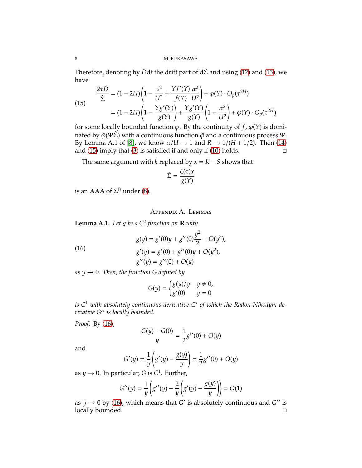Therefore, denoting by  $\hat{D}dt$  the drift part of  $d\hat{\Sigma}$  and using [\(12\)](#page-6-0) and [\(13\)](#page-6-1), we have

<span id="page-7-1"></span>(15) 
$$
\frac{2\tau \hat{D}}{\hat{\Sigma}} = (1 - 2H) \left( 1 - \frac{\alpha^2}{U^2} + \frac{Yf'(Y)}{f(Y)} \frac{\alpha^2}{U^2} \right) + \varphi(Y) \cdot O_p(\tau^{2H})
$$

$$
= (1 - 2H) \left( 1 - \frac{Yg'(Y)}{g(Y)} \right) + \frac{Yg'(Y)}{g(Y)} \left( 1 - \frac{\alpha^2}{U^2} \right) + \varphi(Y) \cdot O_p(\tau^{2H})
$$

for some locally bounded function  $\varphi$ . By the continuity of  $f$ ,  $\varphi(Y)$  is dominated by  $\tilde{\varphi}(\Psi \hat{\Sigma})$  with a continuous function  $\tilde{\varphi}$  and a continuous process Ψ. By Lemma A.1 of [\[8\]](#page-12-4), we know  $\alpha/U \to 1$  and  $R \to 1/(H + 1/2)$ . Then [\(14\)](#page-6-2) and (15) imply that (3) is satisfied if and only if (10) holds. and [\(15\)](#page-7-1) imply that [\(3\)](#page-2-2) is satisfied if and only if [\(10\)](#page-5-2) holds.

The same argument with *k* replaced by  $x = K - S$  shows that

$$
\hat{\Sigma} = \frac{\zeta(\tau)x}{g(Y)}
$$

is an AAA of  $\Sigma^{\text{B}}$  under [\(8\)](#page-5-1).

Appendix A. Lemmas

<span id="page-7-0"></span>**Lemma A.1.** *Let g be a C*<sup>2</sup> *function on* R *with*

<span id="page-7-2"></span>(16)  
\n
$$
g(y) = g'(0)y + g''(0)\frac{y^2}{2} + O(y^3),
$$
\n
$$
g'(y) = g'(0) + g''(0)y + O(y^2),
$$
\n
$$
g''(y) = g''(0) + O(y)
$$

*as*  $y \rightarrow 0$ *. Then, the function G defined by* 

$$
G(y) = \begin{cases} g(y)/y & y \neq 0, \\ g'(0) & y = 0 \end{cases}
$$

*is C*<sup>1</sup> *with absolutely continuous derivative G*′ *of which the Radon-Nikodym derivative G*′′ *is locally bounded.*

*Proof.* By [\(16\)](#page-7-2),

$$
\frac{G(y) - G(0)}{y} = \frac{1}{2}g''(0) + O(y)
$$

and

$$
G'(y) = \frac{1}{y} \left( g'(y) - \frac{g(y)}{y} \right) = \frac{1}{2} g''(0) + O(y)
$$

as  $y \to 0$ . In particular, G is  $C^1$ . Further,

$$
G''(y) = \frac{1}{y} \left( g''(y) - \frac{2}{y} \left( g'(y) - \frac{g(y)}{y} \right) \right) = O(1)
$$

as  $y \to 0$  by [\(16\)](#page-7-2), which means that *G*<sup>'</sup> is absolutely continuous and *G*<sup>''</sup> is locally bounded.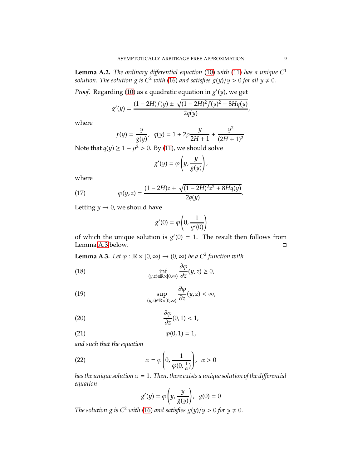<span id="page-8-0"></span>**Lemma A.2.** *The ordinary differential equation* [\(10\)](#page-5-2) *with* [\(11\)](#page-5-3) *has a unique*  $C^1$ *solution. The solution g is*  $C^2$  *with* [\(16\)](#page-7-2) *and satisfies*  $g(y)/y > 0$  *for all*  $y \neq 0$ *.* 

*Proof.* Regarding [\(10\)](#page-5-2) as a quadratic equation in *g* ′ (*y*), we get

$$
g'(y) = \frac{(1 - 2H)f(y) \pm \sqrt{(1 - 2H)^2 f(y)^2 + 8Hq(y)}}{2q(y)},
$$

where

$$
f(y) = \frac{y}{g(y)}, \ \ q(y) = 1 + 2\rho \frac{y}{2H + 1} + \frac{y^2}{(2H + 1)^2}.
$$

 $\sim$ 

Note that  $q(y) \geq 1 - \rho^2 > 0$ . By [\(11\)](#page-5-3), we should solve

$$
g'(y) = \varphi\left(y, \frac{y}{g(y)}\right),\,
$$

where

(17) 
$$
\varphi(y,z) = \frac{(1-2H)z + \sqrt{(1-2H)^2z^2 + 8Hq(y)}}{2q(y)}.
$$

Letting  $y \rightarrow 0$ , we should have

<span id="page-8-2"></span>
$$
g'(0) = \varphi\left(0, \frac{1}{g'(0)}\right)
$$

of which the unique solution is  $g'(0) = 1$ . The result then follows from Lemma [A.3](#page-8-1) below.

<span id="page-8-1"></span>**Lemma A.3.** *Let*  $\varphi$  :  $\mathbb{R} \times [0, \infty) \to (0, \infty)$  *be a*  $C^2$  *function with* 

(18) 
$$
\inf_{(y,z)\in\mathbb{R}\times[0,\infty)}\frac{\partial\varphi}{\partial z}(y,z)\geq 0,
$$

(19) 
$$
\sup_{(y,z)\in\mathbb{R}\times[0,\infty)}\frac{\partial\varphi}{\partial z}(y,z)<\infty,
$$

$$
\frac{\partial \varphi}{\partial z}(0,1) < 1,
$$

$$
\varphi(0,1) = 1,
$$

*and such that the equation*

(22) 
$$
\alpha = \varphi \left( 0, \frac{1}{\varphi(0, \frac{1}{\alpha})} \right), \ \alpha > 0
$$

*has the unique solution*  $\alpha = 1$ . Then, there exists a unique solution of the differential *equation*  $\mathcal{L}$ !

<span id="page-8-4"></span><span id="page-8-3"></span>
$$
g'(y) = \varphi\left(y, \frac{y}{g(y)}\right), \ \ g(0) = 0
$$

*The solution g is*  $C^2$  *with* [\(16\)](#page-7-2) *and satisfies*  $g(y)/y > 0$  *for*  $y \neq 0$ *.*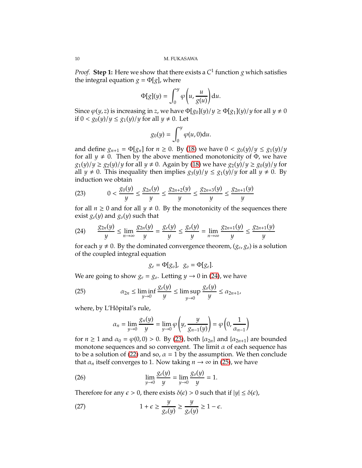*Proof.* Step 1: Here we show that there exists a  $C^1$  function  $g$  which satisfies the integral equation  $g = \Phi[g]$ , where

$$
\Phi[g](y) = \int_0^y \varphi\bigg(u, \frac{u}{g(u)}\bigg) \mathrm{d}u.
$$

Since  $\varphi(y, z)$  is increasing in *z*, we have  $\Phi[g_0](y)/y \ge \Phi[g_1](y)/y$  for all  $y \ne 0$ if  $0 < g_0(y)/y \le g_1(y)/y$  for all  $y \ne 0$ . Let

$$
g_0(y) = \int_0^y \varphi(u,0) \mathrm{d}u.
$$

and define  $g_{n+1} = \Phi[g_n]$  for  $n \ge 0$ . By [\(18\)](#page-8-2) we have  $0 < g_0(y)/y \le g_1(y)/y$ for all  $y \neq 0$ . Then by the above mentioned monotonicity of  $\Phi$ , we have  $g_1(y)/y \ge g_2(y)/y$  for all  $y \ne 0$ . Again by [\(18\)](#page-8-2) we have  $g_2(y)/y \ge g_0(y)/y$  for all *y*  $\neq$  0. This inequality then implies *g*<sub>3</sub>(*y*)/*y*  $\leq$  *g*<sub>1</sub>(*y*)/*y* for all *y*  $\neq$  0. By induction we obtain

<span id="page-9-1"></span>(23) 
$$
0 < \frac{g_0(y)}{y} \le \frac{g_{2n}(y)}{y} \le \frac{g_{2n+2}(y)}{y} \le \frac{g_{2n+3}(y)}{y} \le \frac{g_{2n+1}(y)}{y}
$$

for all  $n \geq 0$  and for all  $y \neq 0$ . By the monotonicity of the sequences there exist  $g_e(y)$  and  $g_o(y)$  such that

<span id="page-9-0"></span>
$$
(24) \qquad \frac{g_{2n}(y)}{y} \le \lim_{n \to \infty} \frac{g_{2n}(y)}{y} = \frac{g_e(y)}{y} \le \frac{g_o(y)}{y} = \lim_{n \to \infty} \frac{g_{2n+1}(y)}{y} \le \frac{g_{2n+1}(y)}{y}
$$

for each  $y \neq 0$ . By the dominated convergence theorem,  $(g_e, g_o)$  is a solution of the coupled integral equation

$$
g_e = \Phi[g_o], \ \ g_o = \Phi[g_e].
$$

We are going to show  $g_e = g_o$ . Letting  $y \to 0$  in [\(24\)](#page-9-0), we have

(25) 
$$
\alpha_{2n} \leq \liminf_{y \to 0} \frac{g_e(y)}{y} \leq \limsup_{y \to 0} \frac{g_o(y)}{y} \leq \alpha_{2n+1},
$$

where, by L'Hôpital's rule,

<span id="page-9-4"></span><span id="page-9-2"></span>
$$
\alpha_n = \lim_{y \to 0} \frac{g_n(y)}{y} = \lim_{y \to 0} \varphi \left( y, \frac{y}{g_{n-1}(y)} \right) = \varphi \left( 0, \frac{1}{\alpha_{n-1}} \right)
$$

for  $n \ge 1$  and  $\alpha_0 = \varphi(0,0) > 0$ . By [\(23\)](#page-9-1), both  $\{\alpha_{2n}\}\$  and  $\{\alpha_{2n+1}\}\$  are bounded monotone sequences and so convergent. The limit  $\alpha$  of each sequence has to be a solution of [\(22\)](#page-8-3) and so,  $\alpha = 1$  by the assumption. We then conclude that  $\alpha_n$  itself converges to 1. Now taking  $n \to \infty$  in [\(25\)](#page-9-2), we have

(26) 
$$
\lim_{y \to 0} \frac{g_e(y)}{y} = \lim_{y \to 0} \frac{g_o(y)}{y} = 1.
$$

Therefore for any  $\epsilon > 0$ , there exists  $\delta(\epsilon) > 0$  such that if  $|y| \leq \delta(\epsilon)$ ,

<span id="page-9-3"></span>(27) 
$$
1 + \epsilon \ge \frac{y}{g_o(y)} \ge \frac{y}{g_e(y)} \ge 1 - \epsilon.
$$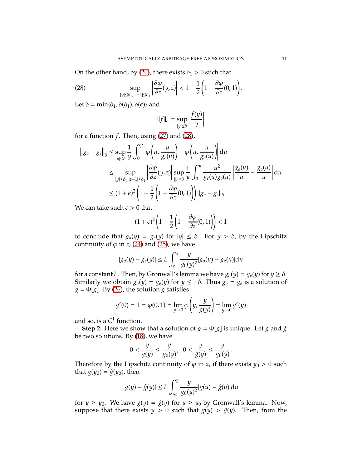On the other hand, by [\(20\)](#page-8-4), there exists  $\delta_1 > 0$  such that

<span id="page-10-0"></span>(28) 
$$
\sup_{|y| \leq \delta_1, |z-1| \leq \delta_1} \left| \frac{\partial \varphi}{\partial z}(y, z) \right| < 1 - \frac{1}{2} \left( 1 - \frac{\partial \varphi}{\partial z}(0, 1) \right).
$$

Let  $\delta = \min{\{\delta_1, \delta(\delta_1), \delta(\epsilon)\}}$  and

$$
||f||_{\delta} = \sup_{|y| \le \delta} \left| \frac{f(y)}{y} \right|
$$

 $\overline{\phantom{a}}$ I I I I

for a function *f*. Then, using [\(27\)](#page-9-3) and [\(28\)](#page-10-0),

$$
\|g_0 - g_e\|_{\delta} \le \sup_{|y| \le \delta} \frac{1}{y} \int_0^y \left| \varphi \left(u, \frac{u}{g_e(u)} \right) - \varphi \left(u, \frac{u}{g_o(u)} \right) \right| du
$$
  
\n
$$
\le \sup_{|y| \le \delta_1, |z - 1| \le \delta_1} \left| \frac{\partial \varphi}{\partial z}(y, z) \right| \sup_{|y| \le \delta} \frac{1}{y} \int_0^y \frac{u^2}{g_e(u)g_o(u)} \left| \frac{g_e(u)}{u} - \frac{g_o(u)}{u} \right| du
$$
  
\n
$$
\le (1 + \epsilon)^2 \left( 1 - \frac{1}{2} \left( 1 - \frac{\partial \varphi}{\partial z}(0, 1) \right) \right) \|g_o - g_e\|_{\delta}.
$$

We can take such  $\epsilon > 0$  that

$$
(1+\epsilon)^2 \left(1 - \frac{1}{2} \left(1 - \frac{\partial \varphi}{\partial z}(0,1)\right)\right) < 1
$$

to conclude that  $g_0(y) = g_e(y)$  for  $|y| \le \delta$ . For  $y > \delta$ , by the Lipschitz continuity of  $\varphi$  in *z*, [\(24\)](#page-9-0) and [\(25\)](#page-9-2), we have

$$
|g_o(y) - g_e(y)| \le L \int_{\delta}^{y} \frac{y}{g_0(y)^2} |g_o(u) - g_e(u)| \mathrm{d}u
$$

for a constant *L*. Then, by Gronwall's lemma we have  $g_o(y) = g_e(y)$  for  $y \ge \delta$ . Similarly we obtain  $g_o(y) = g_e(y)$  for  $y \le -\delta$ . Thus  $g_o = g_e$  is a solution of  $g = \Phi[g]$ . By [\(26\)](#page-9-4), the solution *g* satisfies

$$
g'(0) = 1 = \varphi(0, 1) = \lim_{y \to 0} \varphi\left(y, \frac{y}{g(y)}\right) = \lim_{y \to 0} g'(y)
$$

and so, is a *C* 1 function.

**Step 2:** Here we show that a solution of  $g = \Phi[g]$  is unique. Let *g* and  $\hat{g}$ be two solutions. By [\(18\)](#page-8-2), we have

$$
0 < \frac{y}{g(y)} \le \frac{y}{g_0(y)}, \ \ 0 < \frac{y}{\hat{g}(y)} \le \frac{y}{g_0(y)}.
$$

Therefore by the Lipschitz continuity of  $\varphi$  in *z*, if there exists  $y_0 > 0$  such that  $g(y_0) = \hat{g}(y_0)$ , then

$$
|g(y) - \hat{g}(y)| \le L \int_{y_0}^{y} \frac{y}{g_0(y)^2} |g(u) - \hat{g}(u)| \mathrm{d}u
$$

for  $y \ge y_0$ . We have  $g(y) = \hat{g}(y)$  for  $y \ge y_0$  by Gronwall's lemma. Now, suppose that there exists  $y > 0$  such that  $g(y) > \hat{g}(y)$ . Then, from the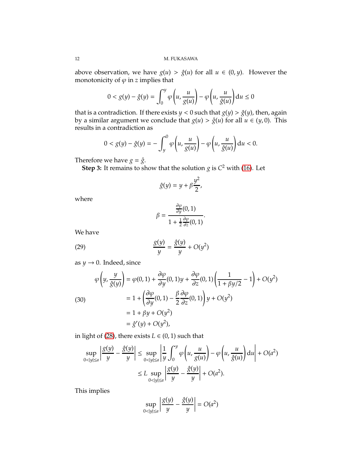above observation, we have  $g(u) > \hat{g}(u)$  for all  $u \in (0, y)$ . However the monotonicity of  $\varphi$  in *z* implies that

$$
0 < g(y) - \hat{g}(y) = \int_0^y \varphi \left( u, \frac{u}{g(u)} \right) - \varphi \left( u, \frac{u}{\hat{g}(u)} \right) du \le 0
$$

that is a contradiction. If there exists  $y < 0$  such that  $g(y) > \hat{g}(y)$ , then, again by a similar argument we conclude that  $g(u) > \hat{g}(u)$  for all  $u \in (y, 0)$ . This results in a contradiction as

$$
0 < g(y) - \hat{g}(y) = -\int_y^0 \varphi\left(u, \frac{u}{g(u)}\right) - \varphi\left(u, \frac{u}{\hat{g}(u)}\right) \mathrm{d}u < 0.
$$

Therefore we have  $g = \hat{g}$ .

**Step 3:** It remains to show that the solution *g* is *C* <sup>2</sup> with [\(16\)](#page-7-2). Let

$$
\hat{g}(y) = y + \beta \frac{y^2}{2},
$$

where

<span id="page-11-0"></span>
$$
\beta = \frac{\frac{\partial \varphi}{\partial y}(0,1)}{1 + \frac{1}{2}\frac{\partial \varphi}{\partial z}(0,1)}.
$$

We have

(29) 
$$
\frac{g(y)}{y} = \frac{\hat{g}(y)}{y} + O(y^2)
$$

as  $y \rightarrow 0$ . Indeed, since

<span id="page-11-1"></span>(30)  
\n
$$
\varphi\left(y, \frac{y}{\hat{g}(y)}\right) = \varphi(0, 1) + \frac{\partial \varphi}{\partial y}(0, 1)y + \frac{\partial \varphi}{\partial z}(0, 1)\left(\frac{1}{1 + \beta y/2} - 1\right) + O(y^2)
$$
\n
$$
= 1 + \left(\frac{\partial \varphi}{\partial y}(0, 1) - \frac{\beta}{2}\frac{\partial \varphi}{\partial z}(0, 1)\right)y + O(y^2)
$$
\n
$$
= 1 + \beta y + O(y^2)
$$
\n
$$
= \hat{g}'(y) + O(y^2),
$$

in light of [\(28\)](#page-10-0), there exists  $L \in (0, 1)$  such that

$$
\sup_{0 < |y| \le a} \left| \frac{g(y)}{y} - \frac{\hat{g}(y)}{y} \right| \le \sup_{0 < |y| \le a} \left| \frac{1}{y} \int_0^y \varphi \left( u, \frac{u}{g(u)} \right) - \varphi \left( u, \frac{u}{\hat{g}(u)} \right) du \right| + O(a^2)
$$
\n
$$
\le L \sup_{0 < |y| \le a} \left| \frac{g(y)}{y} - \frac{\hat{g}(y)}{y} \right| + O(a^2).
$$

This implies

$$
\sup_{0 < |y| \le a} \left| \frac{g(y)}{y} - \frac{\hat{g}(y)}{y} \right| = O(a^2)
$$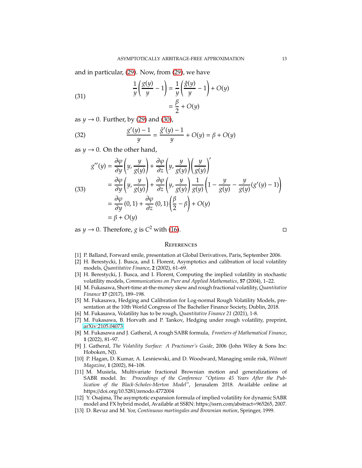and in particular, [\(29\)](#page-11-0). Now, from [\(29\)](#page-11-0), we have

(31) 
$$
\frac{1}{y} \left( \frac{g(y)}{y} - 1 \right) = \frac{1}{y} \left( \frac{\hat{g}(y)}{y} - 1 \right) + O(y) = \frac{\beta}{2} + O(y)
$$

as  $y \rightarrow 0$ . Further, by [\(29\)](#page-11-0) and [\(30\)](#page-11-1),

(32) 
$$
\frac{g'(y) - 1}{y} = \frac{\hat{g}'(y) - 1}{y} + O(y) = \beta + O(y)
$$

as  $y \rightarrow 0$ . On the other hand,

$$
g''(y) = \frac{\partial \varphi}{\partial y} \left( y, \frac{y}{g(y)} \right) + \frac{\partial \varphi}{\partial z} \left( y, \frac{y}{g(y)} \right) \left( \frac{y}{g(y)} \right)'
$$
  
\n(33)  
\n
$$
= \frac{\partial \varphi}{\partial y} \left( y, \frac{y}{g(y)} \right) + \frac{\partial \varphi}{\partial z} \left( y, \frac{y}{g(y)} \right) \frac{1}{g(y)} \left( 1 - \frac{y}{g(y)} - \frac{y}{g(y)} (g'(y) - 1) \right)
$$
  
\n
$$
= \frac{\partial \varphi}{\partial y} (0, 1) + \frac{\partial \varphi}{\partial z} (0, 1) \left( \frac{\beta}{2} - \beta \right) + O(y)
$$
  
\n
$$
= \beta + O(y)
$$

as *y*  $\rightarrow$  0. Therefore, *g* is  $C^2$  with [\(16\)](#page-7-2).

### **REFERENCES**

- <span id="page-12-11"></span><span id="page-12-3"></span>[1] P. Balland, Forward smile, presentation at Global Derivatives, Paris, September 2006.
- [2] H. Berestycki, J. Busca, and I. Florent, Asymptotics and calibration of local volatility models, *Quantitative Finance*, **2** (2002), 61–69.
- <span id="page-12-2"></span>[3] H. Berestycki, J. Busca, and I. Florent, Computing the implied volatility in stochastic volatility models, *Communications on Pure and Applied Mathematics*, **57** (2004), 1–22.
- <span id="page-12-5"></span>[4] M. Fukasawa, Short-time at-the-money skew and rough fractional volatility, *Quantitative Finance* **17** (2017), 189–198.
- <span id="page-12-7"></span>[5] M. Fukasawa, Hedging and Calibration for Log-normal Rough Volatility Models, presentation at the 10th World Congress of The Bachelier Finance Society, Dublin, 2018.
- <span id="page-12-9"></span><span id="page-12-6"></span>[6] M. Fukasawa, Volatility has to be rough, *Quantitative Finance 21* (2021), 1-8.
- <span id="page-12-4"></span>[7] M. Fukasawa, B. Horvath and P. Tankov, Hedging under rough volatility, preprint, [arXiv:2105.04073.](http://arxiv.org/abs/2105.04073)
- [8] M. Fukasawa and J. Gatheral, A rough SABR formula, *Frontiers of Mathematical Finance*, **1** (2022), 81–97.
- <span id="page-12-0"></span>[9] J. Gatheral, *The Volatility Surface: A Practioner's Guide*, 2006 (John Wiley & Sons Inc: Hoboken, NJ).
- <span id="page-12-1"></span>[10] P. Hagan, D. Kumar, A. Lesniewski, and D. Woodward, Managing smile risk, *Wilmott Magazine*, **1** (2002), 84–108.
- <span id="page-12-8"></span>[11] M. Musiela, Multivariate fractional Brownian motion and generalizations of SABR model. In: *Proceedings of the Conference "Options 45 Years After the Publication of the Black-Scholes-Merton Model"*, Jerusalem 2018. Available online at https://doi.org/10.5281/zenodo.4772004
- <span id="page-12-12"></span>[12] Y. Osajima, The asymptotic expansion formula of implied volatility for dynamic SABR model and FX hybrid model, Available at SSRN: https://ssrn.com/abstract=965265, 2007.
- <span id="page-12-10"></span>[13] D. Revuz and M. Yor, *Continuous martingales and Brownian motion*, Springer, 1999.